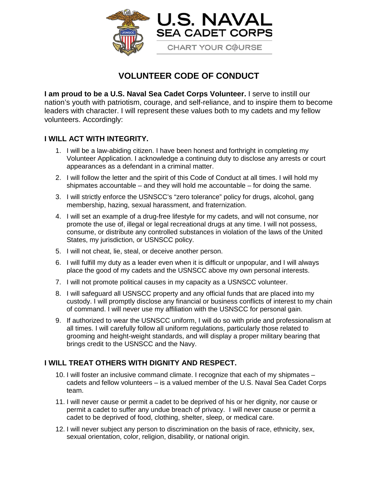

## **VOLUNTEER CODE OF CONDUCT**

**I am proud to be a U.S. Naval Sea Cadet Corps Volunteer.** I serve to instill our nation's youth with patriotism, courage, and self-reliance, and to inspire them to become leaders with character. I will represent these values both to my cadets and my fellow volunteers. Accordingly:

## **I WILL ACT WITH INTEGRITY.**

- 1. I will be a law-abiding citizen. I have been honest and forthright in completing my Volunteer Application. I acknowledge a continuing duty to disclose any arrests or court appearances as a defendant in a criminal matter.
- 2. I will follow the letter and the spirit of this Code of Conduct at all times. I will hold my shipmates accountable – and they will hold me accountable – for doing the same.
- 3. I will strictly enforce the USNSCC's "zero tolerance" policy for drugs, alcohol, gang membership, hazing, sexual harassment, and fraternization.
- 4. I will set an example of a drug-free lifestyle for my cadets, and will not consume, nor promote the use of, illegal or legal recreational drugs at any time. I will not possess, consume, or distribute any controlled substances in violation of the laws of the United States, my jurisdiction, or USNSCC policy.
- 5. I will not cheat, lie, steal, or deceive another person.
- 6. I will fulfill my duty as a leader even when it is difficult or unpopular, and I will always place the good of my cadets and the USNSCC above my own personal interests.
- 7. I will not promote political causes in my capacity as a USNSCC volunteer.
- 8. I will safeguard all USNSCC property and any official funds that are placed into my custody. I will promptly disclose any financial or business conflicts of interest to my chain of command. I will never use my affiliation with the USNSCC for personal gain.
- 9. If authorized to wear the USNSCC uniform, I will do so with pride and professionalism at all times. I will carefully follow all uniform regulations, particularly those related to grooming and height-weight standards, and will display a proper military bearing that brings credit to the USNSCC and the Navy.

## **I WILL TREAT OTHERS WITH DIGNITY AND RESPECT.**

- 10. I will foster an inclusive command climate. I recognize that each of my shipmates cadets and fellow volunteers – is a valued member of the U.S. Naval Sea Cadet Corps team.
- 11. I will never cause or permit a cadet to be deprived of his or her dignity, nor cause or permit a cadet to suffer any undue breach of privacy. I will never cause or permit a cadet to be deprived of food, clothing, shelter, sleep, or medical care.
- 12. I will never subject any person to discrimination on the basis of race, ethnicity, sex, sexual orientation, color, religion, disability, or national origin.